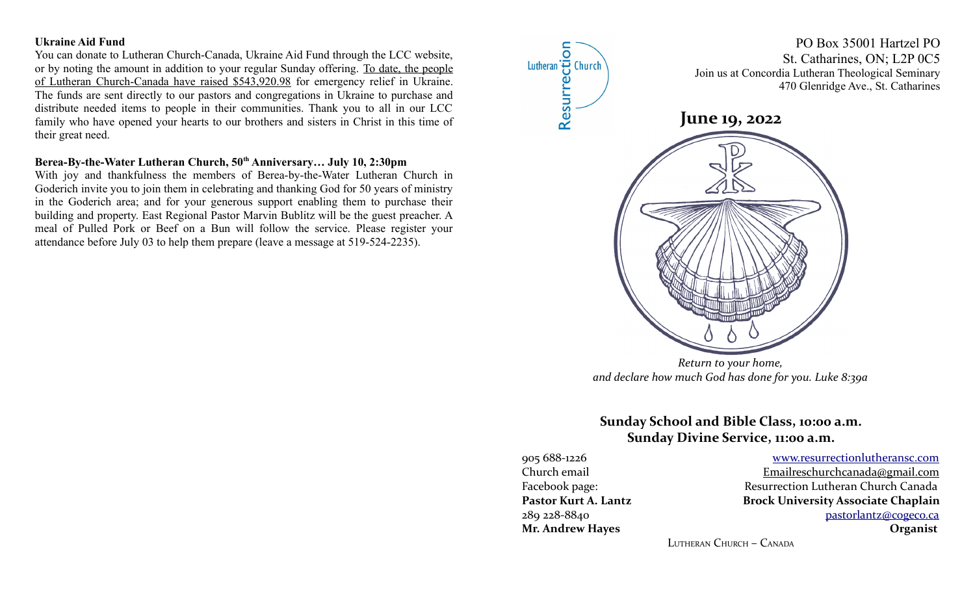#### **Ukraine Aid Fund**

You can donate to Lutheran Church-Canada, Ukraine Aid Fund through the LCC website, or by noting the amount in addition to your regular Sunday offering. To date, the people of Lutheran Church-Canada have raised \$543,920.98 for emergency relief in Ukraine. The funds are sent directly to our pastors and congregations in Ukraine to purchase and distribute needed items to people in their communities. Thank you to all in our LCC family who have opened your hearts to our brothers and sisters in Christ in this time of their great need.

## **Berea-By-the-Water Lutheran Church, 50th Anniversary… July 10, 2:30pm**

With joy and thankfulness the members of Berea-by-the-Water Lutheran Church in Goderich invite you to join them in celebrating and thanking God for 50 years of ministry in the Goderich area; and for your generous support enabling them to purchase their building and property. East Regional Pastor Marvin Bublitz will be the guest preacher. A meal of Pulled Pork or Beef on a Bun will follow the service. Please register your attendance before July 03 to help them prepare (leave a message at 519-524-2235).



# **Sunday School and Bible Class, 10:00 a.m. Sunday Divine Service, 11:00 a.m.**

905 688-1226 [www.resurrectionl utherans c.c om](http://www.resurrectionlc.ca/) Church email Emailreschur chanada@gmail.com Facebook page: Resurrection Lutheran Church Canada Pastor Kurt A. Lantz **Brock University Associate Chaplain** 289 228-8840 [pastorlantz@cogeco.ca](mailto:pastorlantz@cogeco.ca) **Mr. Andrew Hayes Organist**

LUTHERAN CHURCH – CANADA